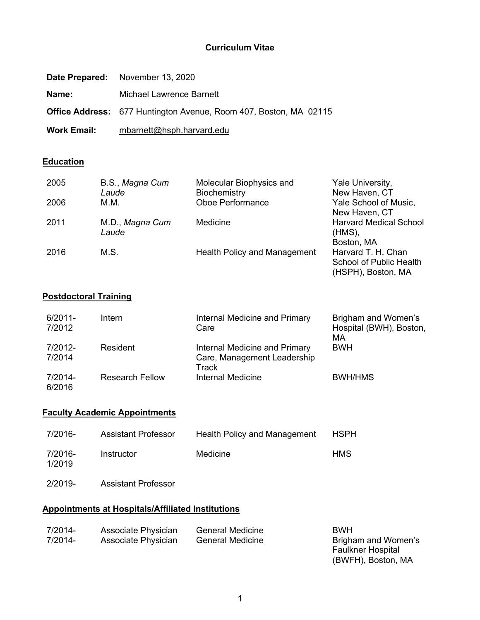### **Curriculum Vitae**

|                    | Date Prepared: November 13, 2020                                         |
|--------------------|--------------------------------------------------------------------------|
| Name:              | Michael Lawrence Barnett                                                 |
|                    | <b>Office Address:</b> 677 Huntington Avenue, Room 407, Boston, MA 02115 |
| <b>Work Email:</b> | mbarnett@hsph.harvard.edu                                                |

## **Education**

| 2005 | B.S., Magna Cum | Molecular Biophysics and     | Yale University,               |
|------|-----------------|------------------------------|--------------------------------|
|      | Laude           | Biochemistry                 | New Haven, CT                  |
| 2006 | М.М.            | <b>Oboe Performance</b>      | Yale School of Music,          |
|      |                 |                              | New Haven, CT                  |
| 2011 | M.D., Magna Cum | Medicine                     | <b>Harvard Medical School</b>  |
|      | Laude           |                              | $(HMS)$ ,                      |
|      |                 |                              | Boston, MA                     |
| 2016 | M.S.            | Health Policy and Management | Harvard T. H. Chan             |
|      |                 |                              | <b>School of Public Health</b> |
|      |                 |                              | (HSPH), Boston, MA             |

## **Postdoctoral Training**

| 6/2011-<br>7/2012 | Intern                 | Internal Medicine and Primary<br>Care                                 | Brigham and Women's<br>Hospital (BWH), Boston,<br>МA |
|-------------------|------------------------|-----------------------------------------------------------------------|------------------------------------------------------|
| 7/2012-<br>7/2014 | Resident               | Internal Medicine and Primary<br>Care, Management Leadership<br>Track | <b>BWH</b>                                           |
| 7/2014-<br>6/2016 | <b>Research Fellow</b> | Internal Medicine                                                     | <b>BWH/HMS</b>                                       |

### **Faculty Academic Appointments**

| 7/2016-           | <b>Assistant Professor</b> | Health Policy and Management | <b>HSPH</b> |
|-------------------|----------------------------|------------------------------|-------------|
| 7/2016-<br>1/2019 | Instructor                 | Medicine                     | HMS         |

2/2019- Assistant Professor

## **Appointments at Hospitals/Affiliated Institutions**

| 7/2014- | Associate Physician | <b>General Medicine</b> | <b>BWH</b>               |
|---------|---------------------|-------------------------|--------------------------|
| 7/2014- | Associate Physician | General Medicine        | Brigham and Women's      |
|         |                     |                         | <b>Faulkner Hospital</b> |

(BWFH), Boston, MA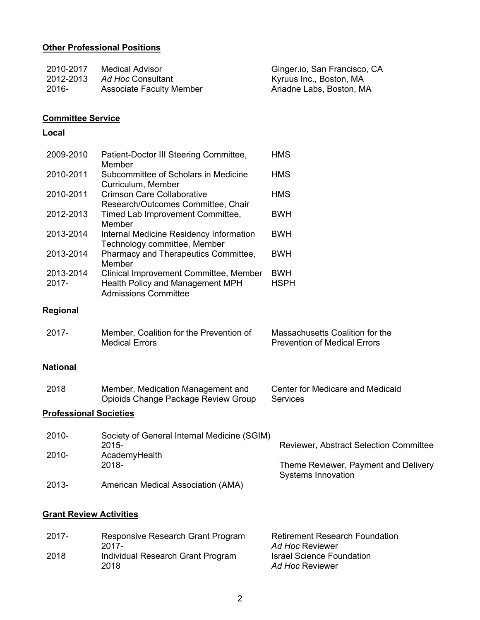## **Other Professional Positions**

| 2010-2017 | Medical Advisor                 | Ginger.io, San Francisco, CA |
|-----------|---------------------------------|------------------------------|
| 2012-2013 | Ad Hoc Consultant               | Kyruus Inc., Boston, MA      |
| -2016     | <b>Associate Faculty Member</b> | Ariadne Labs, Boston, MA     |

# **Committee Service**

## **Local**

| 2009-2010                      | Patient-Doctor III Steering Committee,<br>Member                                                          | <b>HMS</b>                                                             |
|--------------------------------|-----------------------------------------------------------------------------------------------------------|------------------------------------------------------------------------|
| 2010-2011                      | Subcommittee of Scholars in Medicine<br>Curriculum, Member                                                | <b>HMS</b>                                                             |
| 2010-2011                      | <b>Crimson Care Collaborative</b><br>Research/Outcomes Committee, Chair                                   | <b>HMS</b>                                                             |
| 2012-2013                      | Timed Lab Improvement Committee,<br>Member                                                                | <b>BWH</b>                                                             |
| 2013-2014                      | Internal Medicine Residency Information<br>Technology committee, Member                                   | <b>BWH</b>                                                             |
| 2013-2014                      | Pharmacy and Therapeutics Committee,<br>Member                                                            | <b>BWH</b>                                                             |
| 2013-2014<br>2017-             | Clinical Improvement Committee, Member<br>Health Policy and Management MPH<br><b>Admissions Committee</b> | <b>BWH</b><br><b>HSPH</b>                                              |
| <b>Regional</b>                |                                                                                                           |                                                                        |
| 2017-                          | Member, Coalition for the Prevention of<br><b>Medical Errors</b>                                          | Massachusetts Coalition for the<br><b>Prevention of Medical Errors</b> |
| <b>National</b>                |                                                                                                           |                                                                        |
| 2018                           | Member, Medication Management and<br>Opioids Change Package Review Group                                  | Center for Medicare and Medicaid<br><b>Services</b>                    |
| <b>Professional Societies</b>  |                                                                                                           |                                                                        |
| 2010-                          | Society of General Internal Medicine (SGIM)<br>2015-                                                      | Reviewer, Abstract Selection Committee                                 |
| 2010-                          | AcademyHealth<br>2018-                                                                                    | Theme Reviewer, Payment and Delivery                                   |
| 2013-                          | American Medical Association (AMA)                                                                        | <b>Systems Innovation</b>                                              |
| <b>Grant Review Activities</b> |                                                                                                           |                                                                        |

| $2017 -$ | Responsive Research Grant Program<br>2017- | <b>Retirement Research Foundation</b><br>Ad Hoc Reviewer |
|----------|--------------------------------------------|----------------------------------------------------------|
| 2018     | Individual Research Grant Program<br>2018  | <b>Israel Science Foundation</b><br>Ad Hoc Reviewer      |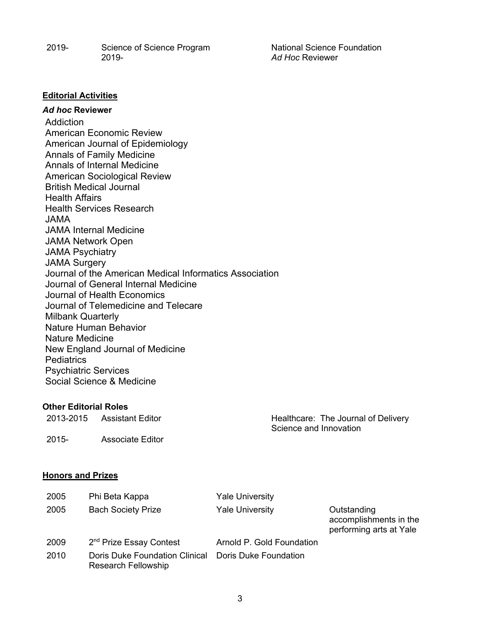2019- Science of Science Program 2019National Science Foundation *Ad Hoc* Reviewer

### **Editorial Activities**

### *Ad hoc* **Reviewer**

**Addiction** American Economic Review American Journal of Epidemiology Annals of Family Medicine Annals of Internal Medicine American Sociological Review British Medical Journal Health Affairs Health Services Research JAMA JAMA Internal Medicine JAMA Network Open JAMA Psychiatry JAMA Surgery Journal of the American Medical Informatics Association Journal of General Internal Medicine Journal of Health Economics Journal of Telemedicine and Telecare Milbank Quarterly Nature Human Behavior Nature Medicine New England Journal of Medicine **Pediatrics** Psychiatric Services Social Science & Medicine

### **Other Editorial Roles**

| 2013-2015 | Assistant Editor | Healthcare: The Journal of Delivery<br>Science and Innovation |
|-----------|------------------|---------------------------------------------------------------|
| 2015-     | Associate Editor |                                                               |

### **Honors and Prizes**

| 2005 | Phi Beta Kappa                                               | <b>Yale University</b>    |                                                                  |
|------|--------------------------------------------------------------|---------------------------|------------------------------------------------------------------|
| 2005 | <b>Bach Society Prize</b>                                    | <b>Yale University</b>    | Outstanding<br>accomplishments in the<br>performing arts at Yale |
| 2009 | 2 <sup>nd</sup> Prize Essay Contest                          | Arnold P. Gold Foundation |                                                                  |
| 2010 | Doris Duke Foundation Clinical<br><b>Research Fellowship</b> | Doris Duke Foundation     |                                                                  |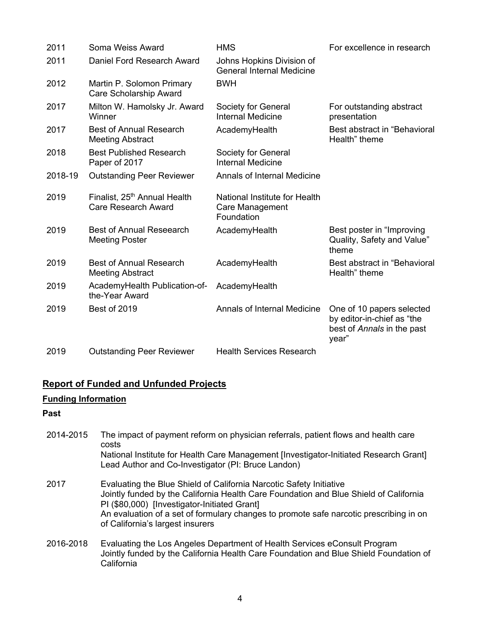| 2011    | Soma Weiss Award                                                       | <b>HMS</b>                                                     | For excellence in research                                                                     |
|---------|------------------------------------------------------------------------|----------------------------------------------------------------|------------------------------------------------------------------------------------------------|
| 2011    | Daniel Ford Research Award                                             | Johns Hopkins Division of<br><b>General Internal Medicine</b>  |                                                                                                |
| 2012    | Martin P. Solomon Primary<br>Care Scholarship Award                    | <b>BWH</b>                                                     |                                                                                                |
| 2017    | Milton W. Hamolsky Jr. Award<br>Winner                                 | Society for General<br><b>Internal Medicine</b>                | For outstanding abstract<br>presentation                                                       |
| 2017    | <b>Best of Annual Research</b><br><b>Meeting Abstract</b>              | AcademyHealth                                                  | Best abstract in "Behavioral"<br>Health" theme                                                 |
| 2018    | <b>Best Published Research</b><br>Paper of 2017                        | Society for General<br><b>Internal Medicine</b>                |                                                                                                |
| 2018-19 | <b>Outstanding Peer Reviewer</b>                                       | <b>Annals of Internal Medicine</b>                             |                                                                                                |
| 2019    | Finalist, 25 <sup>th</sup> Annual Health<br><b>Care Research Award</b> | National Institute for Health<br>Care Management<br>Foundation |                                                                                                |
| 2019    | <b>Best of Annual Reseearch</b><br><b>Meeting Poster</b>               | AcademyHealth                                                  | Best poster in "Improving<br>Quality, Safety and Value"<br>theme                               |
| 2019    | <b>Best of Annual Research</b><br><b>Meeting Abstract</b>              | AcademyHealth                                                  | Best abstract in "Behavioral<br>Health" theme                                                  |
| 2019    | AcademyHealth Publication-of-<br>the-Year Award                        | AcademyHealth                                                  |                                                                                                |
| 2019    | Best of 2019                                                           | Annals of Internal Medicine                                    | One of 10 papers selected<br>by editor-in-chief as "the<br>best of Annals in the past<br>year" |
| 2019    | <b>Outstanding Peer Reviewer</b>                                       | <b>Health Services Research</b>                                |                                                                                                |

# **Report of Funded and Unfunded Projects**

# **Funding Information**

## **Past**

| 2014-2015 | The impact of payment reform on physician referrals, patient flows and health care<br>costs<br>National Institute for Health Care Management [Investigator-Initiated Research Grant]<br>Lead Author and Co-Investigator (PI: Bruce Landon)                                                                                                 |
|-----------|--------------------------------------------------------------------------------------------------------------------------------------------------------------------------------------------------------------------------------------------------------------------------------------------------------------------------------------------|
| 2017      | Evaluating the Blue Shield of California Narcotic Safety Initiative<br>Jointly funded by the California Health Care Foundation and Blue Shield of California<br>PI (\$80,000) [Investigator-Initiated Grant]<br>An evaluation of a set of formulary changes to promote safe narcotic prescribing in on<br>of California's largest insurers |
| 2016-2018 | Evaluating the Los Angeles Department of Health Services eConsult Program<br>Jointly funded by the California Health Care Foundation and Blue Shield Foundation of<br>California                                                                                                                                                           |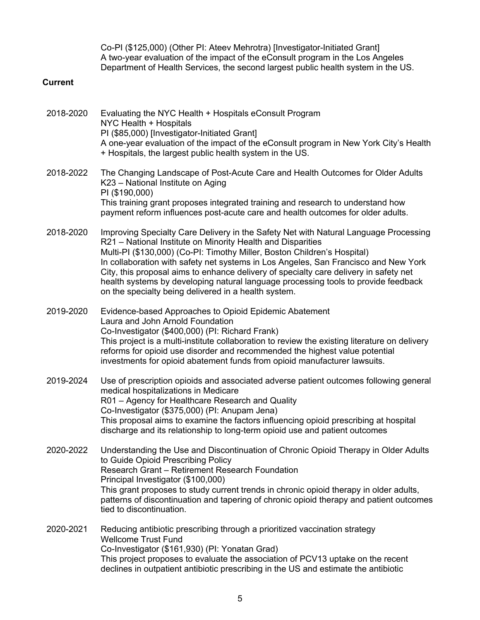Co-PI (\$125,000) (Other PI: Ateev Mehrotra) [Investigator-Initiated Grant] A two-year evaluation of the impact of the eConsult program in the Los Angeles Department of Health Services, the second largest public health system in the US.

### **Current**

| 2018-2020 | Evaluating the NYC Health + Hospitals eConsult Program<br>NYC Health + Hospitals<br>PI (\$85,000) [Investigator-Initiated Grant]<br>A one-year evaluation of the impact of the eConsult program in New York City's Health<br>+ Hospitals, the largest public health system in the US.                                                                                                                                                                                                                                                                         |
|-----------|---------------------------------------------------------------------------------------------------------------------------------------------------------------------------------------------------------------------------------------------------------------------------------------------------------------------------------------------------------------------------------------------------------------------------------------------------------------------------------------------------------------------------------------------------------------|
| 2018-2022 | The Changing Landscape of Post-Acute Care and Health Outcomes for Older Adults<br>K23 - National Institute on Aging<br>PI (\$190,000)<br>This training grant proposes integrated training and research to understand how<br>payment reform influences post-acute care and health outcomes for older adults.                                                                                                                                                                                                                                                   |
| 2018-2020 | Improving Specialty Care Delivery in the Safety Net with Natural Language Processing<br>R21 - National Institute on Minority Health and Disparities<br>Multi-PI (\$130,000) (Co-PI: Timothy Miller, Boston Children's Hospital)<br>In collaboration with safety net systems in Los Angeles, San Francisco and New York<br>City, this proposal aims to enhance delivery of specialty care delivery in safety net<br>health systems by developing natural language processing tools to provide feedback<br>on the specialty being delivered in a health system. |
| 2019-2020 | Evidence-based Approaches to Opioid Epidemic Abatement<br>Laura and John Arnold Foundation<br>Co-Investigator (\$400,000) (PI: Richard Frank)<br>This project is a multi-institute collaboration to review the existing literature on delivery<br>reforms for opioid use disorder and recommended the highest value potential<br>investments for opioid abatement funds from opioid manufacturer lawsuits.                                                                                                                                                    |
| 2019-2024 | Use of prescription opioids and associated adverse patient outcomes following general<br>medical hospitalizations in Medicare<br>R01 - Agency for Healthcare Research and Quality<br>Co-Investigator (\$375,000) (PI: Anupam Jena)<br>This proposal aims to examine the factors influencing opioid prescribing at hospital<br>discharge and its relationship to long-term opioid use and patient outcomes                                                                                                                                                     |
| 2020-2022 | Understanding the Use and Discontinuation of Chronic Opioid Therapy in Older Adults<br>to Guide Opioid Prescribing Policy<br>Research Grant - Retirement Research Foundation<br>Principal Investigator (\$100,000)<br>This grant proposes to study current trends in chronic opioid therapy in older adults,<br>patterns of discontinuation and tapering of chronic opioid therapy and patient outcomes<br>tied to discontinuation.                                                                                                                           |
| 2020-2021 | Reducing antibiotic prescribing through a prioritized vaccination strategy<br><b>Wellcome Trust Fund</b><br>Co-Investigator (\$161,930) (PI: Yonatan Grad)                                                                                                                                                                                                                                                                                                                                                                                                    |

This project proposes to evaluate the association of PCV13 uptake on the recent declines in outpatient antibiotic prescribing in the US and estimate the antibiotic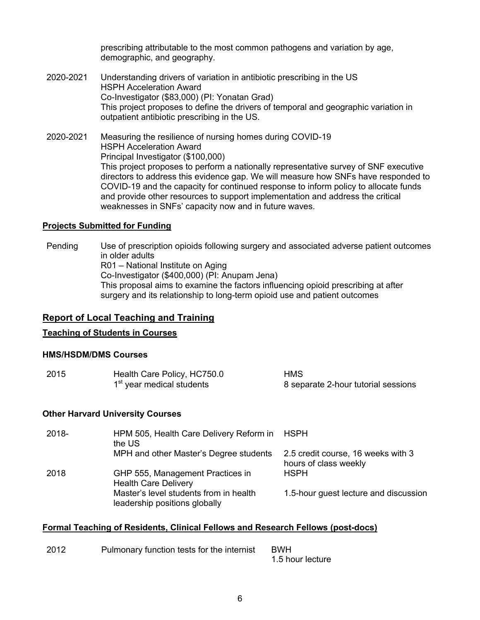prescribing attributable to the most common pathogens and variation by age, demographic, and geography.

- 2020-2021 Understanding drivers of variation in antibiotic prescribing in the US HSPH Acceleration Award Co-Investigator (\$83,000) (PI: Yonatan Grad) This project proposes to define the drivers of temporal and geographic variation in outpatient antibiotic prescribing in the US.
- 2020-2021 Measuring the resilience of nursing homes during COVID-19 HSPH Acceleration Award Principal Investigator (\$100,000) This project proposes to perform a nationally representative survey of SNF executive directors to address this evidence gap. We will measure how SNFs have responded to COVID-19 and the capacity for continued response to inform policy to allocate funds and provide other resources to support implementation and address the critical weaknesses in SNFs' capacity now and in future waves.

#### **Projects Submitted for Funding**

Pending Use of prescription opioids following surgery and associated adverse patient outcomes in older adults R01 – National Institute on Aging Co-Investigator (\$400,000) (PI: Anupam Jena) This proposal aims to examine the factors influencing opioid prescribing at after surgery and its relationship to long-term opioid use and patient outcomes

### **Report of Local Teaching and Training**

#### **Teaching of Students in Courses**

#### **HMS/HSDM/DMS Courses**

| 2015 | Health Care Policy, HC750.0           | <b>HMS</b>                          |
|------|---------------------------------------|-------------------------------------|
|      | 1 <sup>st</sup> year medical students | 8 separate 2-hour tutorial sessions |

#### **Other Harvard University Courses**

| 2018- | HPM 505, Health Care Delivery Reform in<br>the US                       | HSPH                                                        |
|-------|-------------------------------------------------------------------------|-------------------------------------------------------------|
|       | MPH and other Master's Degree students                                  | 2.5 credit course, 16 weeks with 3<br>hours of class weekly |
| 2018  | GHP 555, Management Practices in<br><b>Health Care Delivery</b>         | <b>HSPH</b>                                                 |
|       | Master's level students from in health<br>leadership positions globally | 1.5-hour guest lecture and discussion                       |

#### **Formal Teaching of Residents, Clinical Fellows and Research Fellows (post-docs)**

| 2012 | Pulmonary function tests for the internist | <b>BWH</b>       |
|------|--------------------------------------------|------------------|
|      |                                            | 1.5 hour lecture |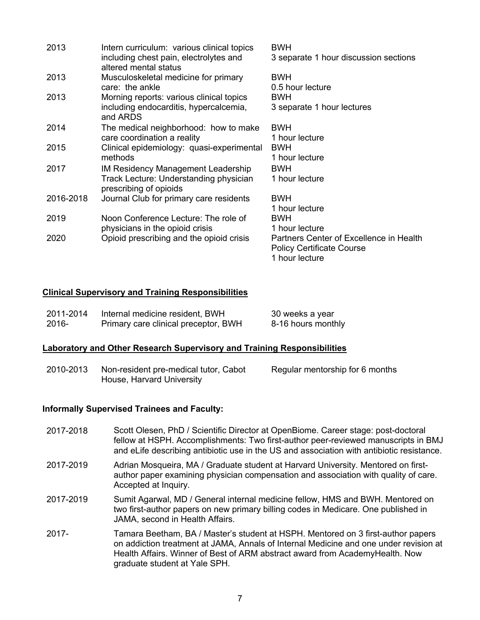| 2013      | Intern curriculum: various clinical topics                      | <b>BWH</b>                              |
|-----------|-----------------------------------------------------------------|-----------------------------------------|
|           | including chest pain, electrolytes and<br>altered mental status | 3 separate 1 hour discussion sections   |
| 2013      | Musculoskeletal medicine for primary                            | <b>BWH</b>                              |
|           | care: the ankle                                                 | 0.5 hour lecture                        |
| 2013      | Morning reports: various clinical topics                        | <b>BWH</b>                              |
|           | including endocarditis, hypercalcemia,<br>and ARDS              | 3 separate 1 hour lectures              |
| 2014      | The medical neighborhood: how to make                           | <b>BWH</b>                              |
|           | care coordination a reality                                     | 1 hour lecture                          |
| 2015      | Clinical epidemiology: quasi-experimental                       | <b>BWH</b>                              |
|           | methods                                                         | 1 hour lecture                          |
| 2017      | IM Residency Management Leadership                              | <b>BWH</b>                              |
|           | Track Lecture: Understanding physician                          | 1 hour lecture                          |
|           | prescribing of opioids                                          |                                         |
| 2016-2018 | Journal Club for primary care residents                         | <b>BWH</b>                              |
|           |                                                                 | 1 hour lecture                          |
| 2019      | Noon Conference Lecture: The role of                            | <b>BWH</b>                              |
|           | physicians in the opioid crisis                                 | 1 hour lecture                          |
| 2020      | Opioid prescribing and the opioid crisis                        | Partners Center of Excellence in Health |
|           |                                                                 | <b>Policy Certificate Course</b>        |
|           |                                                                 | 1 hour lecture                          |

### **Clinical Supervisory and Training Responsibilities**

| 2011-2014 | Internal medicine resident, BWH      | 30 weeks a year    |
|-----------|--------------------------------------|--------------------|
| -2016     | Primary care clinical preceptor, BWH | 8-16 hours monthly |

#### **Laboratory and Other Research Supervisory and Training Responsibilities**

2010-2013 Non-resident pre-medical tutor, Cabot House, Harvard University Regular mentorship for 6 months

#### **Informally Supervised Trainees and Faculty:**

- 2017-2018 Scott Olesen, PhD / Scientific Director at OpenBiome. Career stage: post-doctoral fellow at HSPH. Accomplishments: Two first-author peer-reviewed manuscripts in BMJ and eLife describing antibiotic use in the US and association with antibiotic resistance.
- 2017-2019 Adrian Mosqueira, MA / Graduate student at Harvard University. Mentored on firstauthor paper examining physician compensation and association with quality of care. Accepted at Inquiry.
- 2017-2019 Sumit Agarwal, MD / General internal medicine fellow, HMS and BWH. Mentored on two first-author papers on new primary billing codes in Medicare. One published in JAMA, second in Health Affairs.
- 2017- Tamara Beetham, BA / Master's student at HSPH. Mentored on 3 first-author papers on addiction treatment at JAMA, Annals of Internal Medicine and one under revision at Health Affairs. Winner of Best of ARM abstract award from AcademyHealth. Now graduate student at Yale SPH.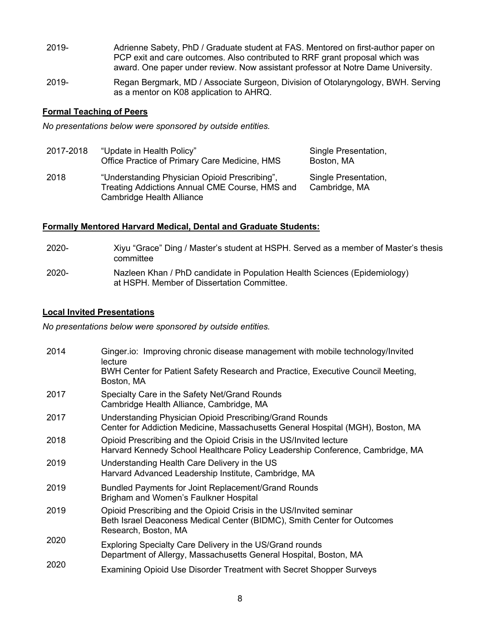- 2019- Adrienne Sabety, PhD / Graduate student at FAS. Mentored on first-author paper on PCP exit and care outcomes. Also contributed to RRF grant proposal which was award. One paper under review. Now assistant professor at Notre Dame University.
- 2019- Regan Bergmark, MD / Associate Surgeon, Division of Otolaryngology, BWH. Serving as a mentor on K08 application to AHRQ.

### **Formal Teaching of Peers**

*No presentations below were sponsored by outside entities.*

| 2017-2018 | "Update in Health Policy"<br>Office Practice of Primary Care Medicine, HMS                                                   | Single Presentation,<br>Boston, MA    |
|-----------|------------------------------------------------------------------------------------------------------------------------------|---------------------------------------|
| 2018      | "Understanding Physician Opioid Prescribing",<br>Treating Addictions Annual CME Course, HMS and<br>Cambridge Health Alliance | Single Presentation,<br>Cambridge, MA |

### **Formally Mentored Harvard Medical, Dental and Graduate Students:**

- 2020- Xiyu "Grace" Ding / Master's student at HSPH. Served as a member of Master's thesis committee
- 2020- Nazleen Khan / PhD candidate in Population Health Sciences (Epidemiology) at HSPH. Member of Dissertation Committee.

### **Local Invited Presentations**

*No presentations below were sponsored by outside entities.*

| 2014 | Ginger.io: Improving chronic disease management with mobile technology/Invited<br>lecture                                                                             |
|------|-----------------------------------------------------------------------------------------------------------------------------------------------------------------------|
|      | BWH Center for Patient Safety Research and Practice, Executive Council Meeting,<br>Boston, MA                                                                         |
| 2017 | Specialty Care in the Safety Net/Grand Rounds<br>Cambridge Health Alliance, Cambridge, MA                                                                             |
| 2017 | Understanding Physician Opioid Prescribing/Grand Rounds<br>Center for Addiction Medicine, Massachusetts General Hospital (MGH), Boston, MA                            |
| 2018 | Opioid Prescribing and the Opioid Crisis in the US/Invited lecture<br>Harvard Kennedy School Healthcare Policy Leadership Conference, Cambridge, MA                   |
| 2019 | Understanding Health Care Delivery in the US<br>Harvard Advanced Leadership Institute, Cambridge, MA                                                                  |
| 2019 | Bundled Payments for Joint Replacement/Grand Rounds<br>Brigham and Women's Faulkner Hospital                                                                          |
| 2019 | Opioid Prescribing and the Opioid Crisis in the US/Invited seminar<br>Beth Israel Deaconess Medical Center (BIDMC), Smith Center for Outcomes<br>Research, Boston, MA |
| 2020 | Exploring Specialty Care Delivery in the US/Grand rounds<br>Department of Allergy, Massachusetts General Hospital, Boston, MA                                         |
| 2020 | Examining Opioid Use Disorder Treatment with Secret Shopper Surveys                                                                                                   |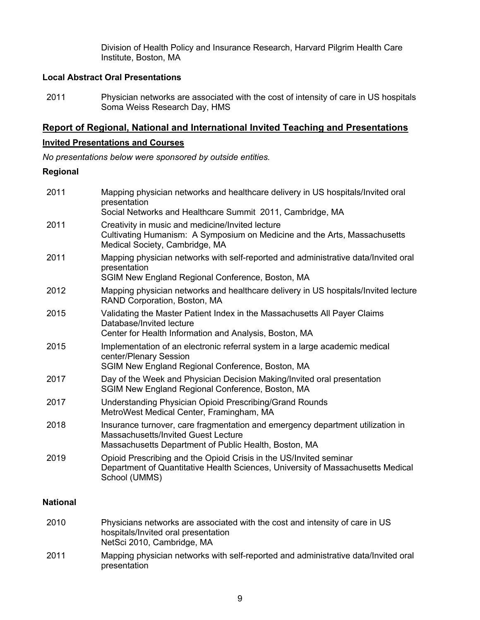Division of Health Policy and Insurance Research, Harvard Pilgrim Health Care Institute, Boston, MA

### **Local Abstract Oral Presentations**

2011 Physician networks are associated with the cost of intensity of care in US hospitals Soma Weiss Research Day, HMS

## **Report of Regional, National and International Invited Teaching and Presentations**

#### **Invited Presentations and Courses**

*No presentations below were sponsored by outside entities.*

## **Regional**

| 2011 | Mapping physician networks and healthcare delivery in US hospitals/Invited oral<br>presentation<br>Social Networks and Healthcare Summit 2011, Cambridge, MA                   |
|------|--------------------------------------------------------------------------------------------------------------------------------------------------------------------------------|
| 2011 | Creativity in music and medicine/Invited lecture<br>Cultivating Humanism: A Symposium on Medicine and the Arts, Massachusetts<br>Medical Society, Cambridge, MA                |
| 2011 | Mapping physician networks with self-reported and administrative data/Invited oral<br>presentation<br>SGIM New England Regional Conference, Boston, MA                         |
| 2012 | Mapping physician networks and healthcare delivery in US hospitals/Invited lecture<br>RAND Corporation, Boston, MA                                                             |
| 2015 | Validating the Master Patient Index in the Massachusetts All Payer Claims<br>Database/Invited lecture<br>Center for Health Information and Analysis, Boston, MA                |
| 2015 | Implementation of an electronic referral system in a large academic medical<br>center/Plenary Session<br>SGIM New England Regional Conference, Boston, MA                      |
| 2017 | Day of the Week and Physician Decision Making/Invited oral presentation<br>SGIM New England Regional Conference, Boston, MA                                                    |
| 2017 | Understanding Physician Opioid Prescribing/Grand Rounds<br>MetroWest Medical Center, Framingham, MA                                                                            |
| 2018 | Insurance turnover, care fragmentation and emergency department utilization in<br>Massachusetts/Invited Guest Lecture<br>Massachusetts Department of Public Health, Boston, MA |
| 2019 | Opioid Prescribing and the Opioid Crisis in the US/Invited seminar<br>Department of Quantitative Health Sciences, University of Massachusetts Medical<br>School (UMMS)         |
|      |                                                                                                                                                                                |

## **National**

| 2010 | Physicians networks are associated with the cost and intensity of care in US<br>hospitals/Invited oral presentation<br>NetSci 2010, Cambridge, MA |
|------|---------------------------------------------------------------------------------------------------------------------------------------------------|
| 2011 | Mapping physician networks with self-reported and administrative data/Invited oral<br>presentation                                                |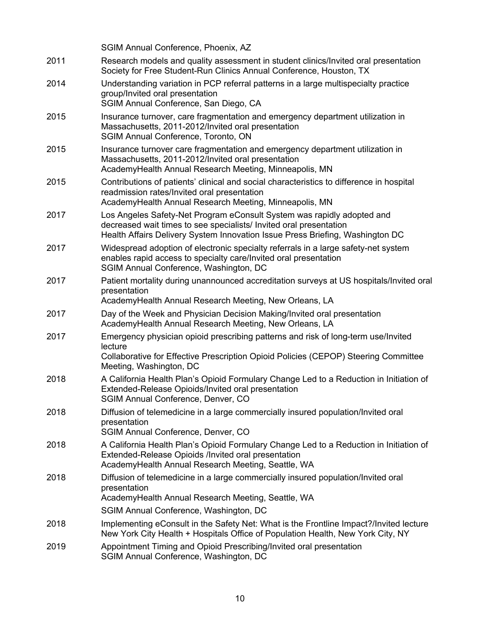|      | SGIM Annual Conference, Phoenix, AZ                                                                                                                                                                                           |
|------|-------------------------------------------------------------------------------------------------------------------------------------------------------------------------------------------------------------------------------|
| 2011 | Research models and quality assessment in student clinics/Invited oral presentation<br>Society for Free Student-Run Clinics Annual Conference, Houston, TX                                                                    |
| 2014 | Understanding variation in PCP referral patterns in a large multispecialty practice<br>group/Invited oral presentation<br>SGIM Annual Conference, San Diego, CA                                                               |
| 2015 | Insurance turnover, care fragmentation and emergency department utilization in<br>Massachusetts, 2011-2012/Invited oral presentation<br>SGIM Annual Conference, Toronto, ON                                                   |
| 2015 | Insurance turnover care fragmentation and emergency department utilization in<br>Massachusetts, 2011-2012/Invited oral presentation<br>AcademyHealth Annual Research Meeting, Minneapolis, MN                                 |
| 2015 | Contributions of patients' clinical and social characteristics to difference in hospital<br>readmission rates/Invited oral presentation<br>AcademyHealth Annual Research Meeting, Minneapolis, MN                             |
| 2017 | Los Angeles Safety-Net Program eConsult System was rapidly adopted and<br>decreased wait times to see specialists/ Invited oral presentation<br>Health Affairs Delivery System Innovation Issue Press Briefing, Washington DC |
| 2017 | Widespread adoption of electronic specialty referrals in a large safety-net system<br>enables rapid access to specialty care/Invited oral presentation<br>SGIM Annual Conference, Washington, DC                              |
| 2017 | Patient mortality during unannounced accreditation surveys at US hospitals/Invited oral<br>presentation<br>AcademyHealth Annual Research Meeting, New Orleans, LA                                                             |
| 2017 | Day of the Week and Physician Decision Making/Invited oral presentation<br>AcademyHealth Annual Research Meeting, New Orleans, LA                                                                                             |
| 2017 | Emergency physician opioid prescribing patterns and risk of long-term use/Invited<br>lecture<br>Collaborative for Effective Prescription Opioid Policies (CEPOP) Steering Committee<br>Meeting, Washington, DC                |
| 2018 | A California Health Plan's Opioid Formulary Change Led to a Reduction in Initiation of<br>Extended-Release Opioids/Invited oral presentation<br>SGIM Annual Conference, Denver, CO                                            |
| 2018 | Diffusion of telemedicine in a large commercially insured population/Invited oral<br>presentation<br>SGIM Annual Conference, Denver, CO                                                                                       |
| 2018 | A California Health Plan's Opioid Formulary Change Led to a Reduction in Initiation of<br>Extended-Release Opioids /Invited oral presentation<br>AcademyHealth Annual Research Meeting, Seattle, WA                           |
| 2018 | Diffusion of telemedicine in a large commercially insured population/Invited oral<br>presentation<br>AcademyHealth Annual Research Meeting, Seattle, WA                                                                       |
|      | SGIM Annual Conference, Washington, DC                                                                                                                                                                                        |
| 2018 | Implementing eConsult in the Safety Net: What is the Frontline Impact?/Invited lecture<br>New York City Health + Hospitals Office of Population Health, New York City, NY                                                     |
| 2019 | Appointment Timing and Opioid Prescribing/Invited oral presentation<br>SGIM Annual Conference, Washington, DC                                                                                                                 |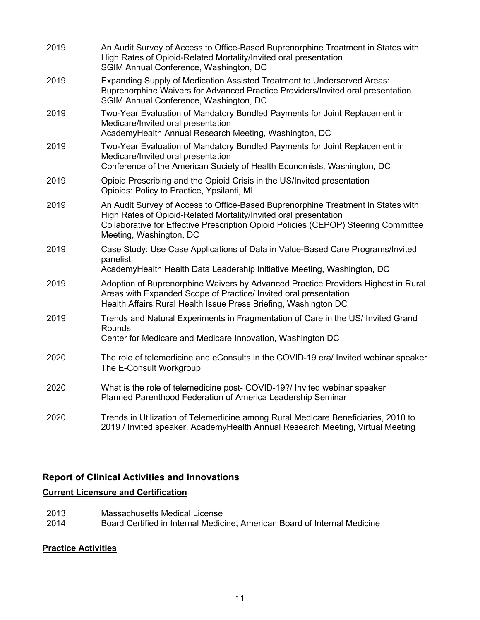| 2019 | An Audit Survey of Access to Office-Based Buprenorphine Treatment in States with<br>High Rates of Opioid-Related Mortality/Invited oral presentation<br>SGIM Annual Conference, Washington, DC                                                                         |
|------|------------------------------------------------------------------------------------------------------------------------------------------------------------------------------------------------------------------------------------------------------------------------|
| 2019 | Expanding Supply of Medication Assisted Treatment to Underserved Areas:<br>Buprenorphine Waivers for Advanced Practice Providers/Invited oral presentation<br>SGIM Annual Conference, Washington, DC                                                                   |
| 2019 | Two-Year Evaluation of Mandatory Bundled Payments for Joint Replacement in<br>Medicare/Invited oral presentation<br>AcademyHealth Annual Research Meeting, Washington, DC                                                                                              |
| 2019 | Two-Year Evaluation of Mandatory Bundled Payments for Joint Replacement in<br>Medicare/Invited oral presentation<br>Conference of the American Society of Health Economists, Washington, DC                                                                            |
| 2019 | Opioid Prescribing and the Opioid Crisis in the US/Invited presentation<br>Opioids: Policy to Practice, Ypsilanti, MI                                                                                                                                                  |
| 2019 | An Audit Survey of Access to Office-Based Buprenorphine Treatment in States with<br>High Rates of Opioid-Related Mortality/Invited oral presentation<br>Collaborative for Effective Prescription Opioid Policies (CEPOP) Steering Committee<br>Meeting, Washington, DC |
| 2019 | Case Study: Use Case Applications of Data in Value-Based Care Programs/Invited<br>panelist<br>AcademyHealth Health Data Leadership Initiative Meeting, Washington, DC                                                                                                  |
| 2019 | Adoption of Buprenorphine Waivers by Advanced Practice Providers Highest in Rural<br>Areas with Expanded Scope of Practice/ Invited oral presentation<br>Health Affairs Rural Health Issue Press Briefing, Washington DC                                               |
| 2019 | Trends and Natural Experiments in Fragmentation of Care in the US/ Invited Grand<br>Rounds<br>Center for Medicare and Medicare Innovation, Washington DC                                                                                                               |
| 2020 | The role of telemedicine and eConsults in the COVID-19 era/ Invited webinar speaker<br>The E-Consult Workgroup                                                                                                                                                         |
| 2020 | What is the role of telemedicine post- COVID-19?/ Invited webinar speaker<br>Planned Parenthood Federation of America Leadership Seminar                                                                                                                               |
| 2020 | Trends in Utilization of Telemedicine among Rural Medicare Beneficiaries, 2010 to<br>2019 / Invited speaker, AcademyHealth Annual Research Meeting, Virtual Meeting                                                                                                    |

# **Report of Clinical Activities and Innovations**

## **Current Licensure and Certification**

- 2013 Massachusetts Medical License
- 2014 Board Certified in Internal Medicine, American Board of Internal Medicine

# **Practice Activities**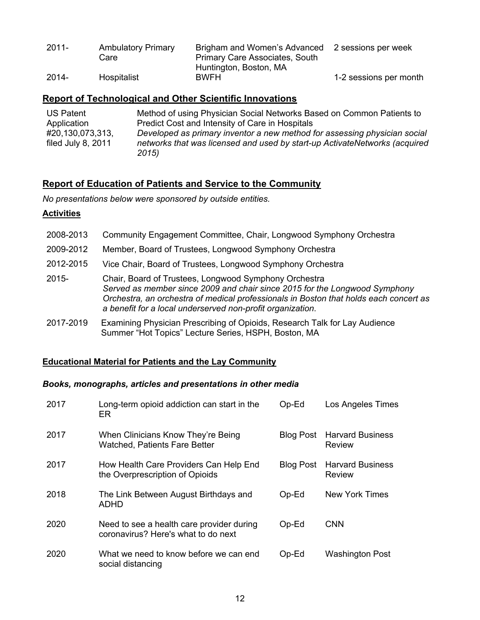| $2011 -$ | <b>Ambulatory Primary</b><br>Care | Brigham and Women's Advanced<br><b>Primary Care Associates, South</b> | 2 sessions per week    |
|----------|-----------------------------------|-----------------------------------------------------------------------|------------------------|
|          |                                   | Huntington, Boston, MA                                                |                        |
| $2014 -$ | Hospitalist                       | <b>BWFH</b>                                                           | 1-2 sessions per month |

## **Report of Technological and Other Scientific Innovations**

| <b>US Patent</b>   | Method of using Physician Social Networks Based on Common Patients to      |
|--------------------|----------------------------------------------------------------------------|
| Application        | Predict Cost and Intensity of Care in Hospitals                            |
| #20,130,073,313,   | Developed as primary inventor a new method for assessing physician social  |
| filed July 8, 2011 | networks that was licensed and used by start-up ActivateNetworks (acquired |
|                    | 2015)                                                                      |

## **Report of Education of Patients and Service to the Community**

*No presentations below were sponsored by outside entities.*

### **Activities**

| 2008-2013 | Community Engagement Committee, Chair, Longwood Symphony Orchestra                                                                                                                                                                                                                         |
|-----------|--------------------------------------------------------------------------------------------------------------------------------------------------------------------------------------------------------------------------------------------------------------------------------------------|
| 2009-2012 | Member, Board of Trustees, Longwood Symphony Orchestra                                                                                                                                                                                                                                     |
| 2012-2015 | Vice Chair, Board of Trustees, Longwood Symphony Orchestra                                                                                                                                                                                                                                 |
| $2015 -$  | Chair, Board of Trustees, Longwood Symphony Orchestra<br>Served as member since 2009 and chair since 2015 for the Longwood Symphony<br>Orchestra, an orchestra of medical professionals in Boston that holds each concert as<br>a benefit for a local underserved non-profit organization. |
| 2017-2019 | Examining Physician Prescribing of Opioids, Research Talk for Lay Audience<br>Summer "Hot Topics" Lecture Series, HSPH, Boston, MA                                                                                                                                                         |

### **Educational Material for Patients and the Lay Community**

### *Books, monographs, articles and presentations in other media*

| 2017 | Long-term opioid addiction can start in the<br>ER                                | $Op-Ed$          | <b>Los Angeles Times</b>                 |
|------|----------------------------------------------------------------------------------|------------------|------------------------------------------|
| 2017 | When Clinicians Know They're Being<br><b>Watched, Patients Fare Better</b>       | <b>Blog Post</b> | <b>Harvard Business</b><br><b>Review</b> |
| 2017 | How Health Care Providers Can Help End<br>the Overprescription of Opioids        | <b>Blog Post</b> | <b>Harvard Business</b><br><b>Review</b> |
| 2018 | The Link Between August Birthdays and<br>ADHD                                    | $Op-Ed$          | <b>New York Times</b>                    |
| 2020 | Need to see a health care provider during<br>coronavirus? Here's what to do next | $Op-Ed$          | <b>CNN</b>                               |
| 2020 | What we need to know before we can end<br>social distancing                      | $Op-Ed$          | <b>Washington Post</b>                   |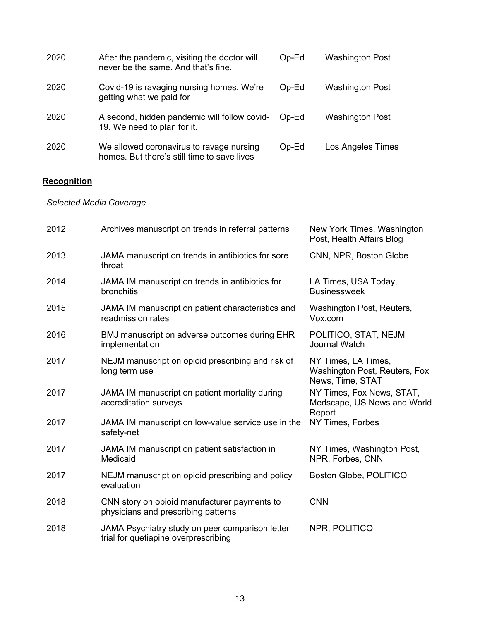| 2020 | After the pandemic, visiting the doctor will<br>never be the same. And that's fine.     | $Op-Ed$ | <b>Washington Post</b>   |
|------|-----------------------------------------------------------------------------------------|---------|--------------------------|
| 2020 | Covid-19 is ravaging nursing homes. We're<br>getting what we paid for                   | $Op-Ed$ | <b>Washington Post</b>   |
| 2020 | A second, hidden pandemic will follow covid-<br>19. We need to plan for it.             | Op-Ed   | <b>Washington Post</b>   |
| 2020 | We allowed coronavirus to ravage nursing<br>homes. But there's still time to save lives | $Op-Ed$ | <b>Los Angeles Times</b> |

# **Recognition**

*Selected Media Coverage*

| 2012 | Archives manuscript on trends in referral patterns                                      | New York Times, Washington<br>Post, Health Affairs Blog                  |
|------|-----------------------------------------------------------------------------------------|--------------------------------------------------------------------------|
| 2013 | JAMA manuscript on trends in antibiotics for sore<br>throat                             | CNN, NPR, Boston Globe                                                   |
| 2014 | JAMA IM manuscript on trends in antibiotics for<br>bronchitis                           | LA Times, USA Today,<br><b>Businessweek</b>                              |
| 2015 | JAMA IM manuscript on patient characteristics and<br>readmission rates                  | Washington Post, Reuters,<br>Vox.com                                     |
| 2016 | BMJ manuscript on adverse outcomes during EHR<br>implementation                         | POLITICO, STAT, NEJM<br><b>Journal Watch</b>                             |
| 2017 | NEJM manuscript on opioid prescribing and risk of<br>long term use                      | NY Times, LA Times,<br>Washington Post, Reuters, Fox<br>News, Time, STAT |
| 2017 | JAMA IM manuscript on patient mortality during<br>accreditation surveys                 | NY Times, Fox News, STAT,<br>Medscape, US News and World<br>Report       |
| 2017 | JAMA IM manuscript on low-value service use in the<br>safety-net                        | NY Times, Forbes                                                         |
| 2017 | JAMA IM manuscript on patient satisfaction in<br>Medicaid                               | NY Times, Washington Post,<br>NPR, Forbes, CNN                           |
| 2017 | NEJM manuscript on opioid prescribing and policy<br>evaluation                          | Boston Globe, POLITICO                                                   |
| 2018 | CNN story on opioid manufacturer payments to<br>physicians and prescribing patterns     | <b>CNN</b>                                                               |
| 2018 | JAMA Psychiatry study on peer comparison letter<br>trial for quetiapine overprescribing | NPR, POLITICO                                                            |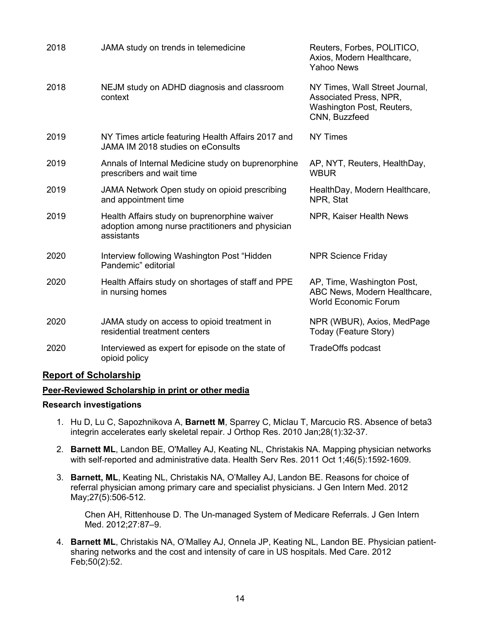| 2018 | JAMA study on trends in telemedicine                                                                           | Reuters, Forbes, POLITICO,<br>Axios, Modern Healthcare,<br><b>Yahoo News</b>                           |
|------|----------------------------------------------------------------------------------------------------------------|--------------------------------------------------------------------------------------------------------|
| 2018 | NEJM study on ADHD diagnosis and classroom<br>context                                                          | NY Times, Wall Street Journal,<br>Associated Press, NPR,<br>Washington Post, Reuters,<br>CNN, Buzzfeed |
| 2019 | NY Times article featuring Health Affairs 2017 and<br>JAMA IM 2018 studies on eConsults                        | <b>NY Times</b>                                                                                        |
| 2019 | Annals of Internal Medicine study on buprenorphine<br>prescribers and wait time                                | AP, NYT, Reuters, HealthDay,<br><b>WBUR</b>                                                            |
| 2019 | JAMA Network Open study on opioid prescribing<br>and appointment time                                          | HealthDay, Modern Healthcare,<br>NPR, Stat                                                             |
| 2019 | Health Affairs study on buprenorphine waiver<br>adoption among nurse practitioners and physician<br>assistants | NPR, Kaiser Health News                                                                                |
| 2020 | Interview following Washington Post "Hidden<br>Pandemic" editorial                                             | <b>NPR Science Friday</b>                                                                              |
| 2020 | Health Affairs study on shortages of staff and PPE<br>in nursing homes                                         | AP, Time, Washington Post,<br>ABC News, Modern Healthcare,<br><b>World Economic Forum</b>              |
| 2020 | JAMA study on access to opioid treatment in<br>residential treatment centers                                   | NPR (WBUR), Axios, MedPage<br>Today (Feature Story)                                                    |
| 2020 | Interviewed as expert for episode on the state of<br>opioid policy                                             | TradeOffs podcast                                                                                      |

### **Report of Scholarship**

#### **Peer-Reviewed Scholarship in print or other media**

#### **Research investigations**

- 1. Hu D, Lu C, Sapozhnikova A, **Barnett M**, Sparrey C, Miclau T, Marcucio RS. Absence of beta3 integrin accelerates early skeletal repair. J Orthop Res. 2010 Jan;28(1):32-37.
- 2. **Barnett ML**, Landon BE, O'Malley AJ, Keating NL, Christakis NA. Mapping physician networks with self-reported and administrative data. Health Serv Res. 2011 Oct 1;46(5):1592-1609.
- 3. **Barnett, ML**, Keating NL, Christakis NA, O'Malley AJ, Landon BE. Reasons for choice of referral physician among primary care and specialist physicians. J Gen Intern Med. 2012 May;27(5):506-512.

Chen AH, Rittenhouse D. The Un-managed System of Medicare Referrals. J Gen Intern Med. 2012;27:87–9.

4. **Barnett ML**, Christakis NA, O'Malley AJ, Onnela JP, Keating NL, Landon BE. Physician patientsharing networks and the cost and intensity of care in US hospitals. Med Care. 2012 Feb;50(2):52.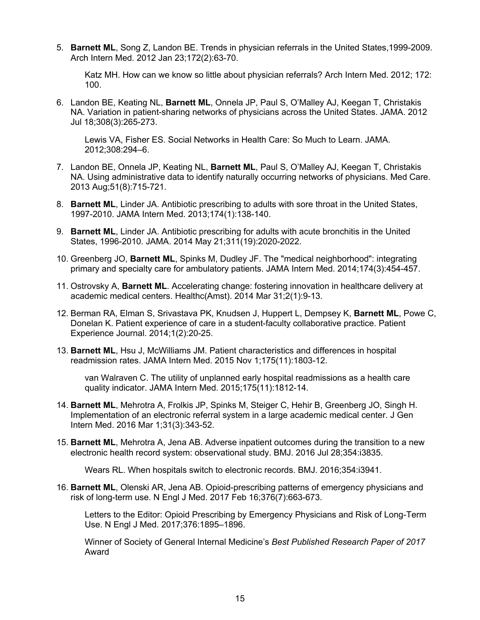5. **Barnett ML**, Song Z, Landon BE. Trends in physician referrals in the United States,1999-2009. Arch Intern Med. 2012 Jan 23;172(2):63-70.

Katz MH. How can we know so little about physician referrals? Arch Intern Med. 2012; 172: 100.

6. Landon BE, Keating NL, **Barnett ML**, Onnela JP, Paul S, O'Malley AJ, Keegan T, Christakis NA. Variation in patient-sharing networks of physicians across the United States. JAMA. 2012 Jul 18;308(3):265-273.

Lewis VA, Fisher ES. Social Networks in Health Care: So Much to Learn. JAMA. 2012;308:294–6.

- 7. Landon BE, Onnela JP, Keating NL, **Barnett ML**, Paul S, O'Malley AJ, Keegan T, Christakis NA. Using administrative data to identify naturally occurring networks of physicians. Med Care. 2013 Aug;51(8):715-721.
- 8. **Barnett ML**, Linder JA. Antibiotic prescribing to adults with sore throat in the United States, 1997-2010. JAMA Intern Med. 2013;174(1):138-140.
- 9. **Barnett ML**, Linder JA. Antibiotic prescribing for adults with acute bronchitis in the United States, 1996-2010. JAMA. 2014 May 21;311(19):2020-2022.
- 10. Greenberg JO, **Barnett ML**, Spinks M, Dudley JF. The "medical neighborhood": integrating primary and specialty care for ambulatory patients. JAMA Intern Med. 2014;174(3):454-457.
- 11. Ostrovsky A, **Barnett ML**. Accelerating change: fostering innovation in healthcare delivery at academic medical centers. Healthc(Amst). 2014 Mar 31;2(1):9-13.
- 12. Berman RA, Elman S, Srivastava PK, Knudsen J, Huppert L, Dempsey K, **Barnett ML**, Powe C, Donelan K. Patient experience of care in a student-faculty collaborative practice. Patient Experience Journal. 2014;1(2):20-25.
- 13. **Barnett ML**, Hsu J, McWilliams JM. Patient characteristics and differences in hospital readmission rates. JAMA Intern Med. 2015 Nov 1;175(11):1803-12.

van Walraven C. The utility of unplanned early hospital readmissions as a health care quality indicator. JAMA Intern Med. 2015;175(11):1812-14.

- 14. **Barnett ML**, Mehrotra A, Frolkis JP, Spinks M, Steiger C, Hehir B, Greenberg JO, Singh H. Implementation of an electronic referral system in a large academic medical center. J Gen Intern Med. 2016 Mar 1;31(3):343-52.
- 15. **Barnett ML**, Mehrotra A, Jena AB. Adverse inpatient outcomes during the transition to a new electronic health record system: observational study. BMJ. 2016 Jul 28;354:i3835.

Wears RL. When hospitals switch to electronic records. BMJ. 2016;354:i3941.

16. **Barnett ML**, Olenski AR, Jena AB. Opioid-prescribing patterns of emergency physicians and risk of long-term use. N Engl J Med. 2017 Feb 16;376(7):663-673.

Letters to the Editor: Opioid Prescribing by Emergency Physicians and Risk of Long-Term Use. N Engl J Med. 2017;376:1895–1896.

Winner of Society of General Internal Medicine's *Best Published Research Paper of 2017* Award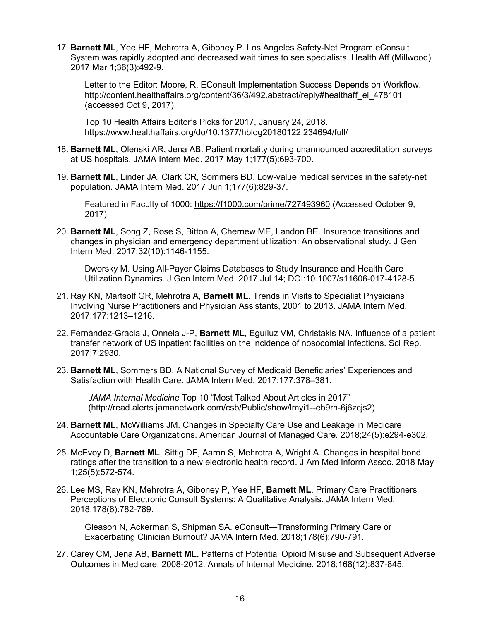17. **Barnett ML**, Yee HF, Mehrotra A, Giboney P. Los Angeles Safety-Net Program eConsult System was rapidly adopted and decreased wait times to see specialists. Health Aff (Millwood). 2017 Mar 1;36(3):492-9.

Letter to the Editor: Moore, R. EConsult Implementation Success Depends on Workflow. http://content.healthaffairs.org/content/36/3/492.abstract/reply#healthaff\_el\_478101 (accessed Oct 9, 2017).

Top 10 Health Affairs Editor's Picks for 2017, January 24, 2018. https://www.healthaffairs.org/do/10.1377/hblog20180122.234694/full/

- 18. **Barnett ML**, Olenski AR, Jena AB. Patient mortality during unannounced accreditation surveys at US hospitals. JAMA Intern Med. 2017 May 1;177(5):693-700.
- 19. **Barnett ML**, Linder JA, Clark CR, Sommers BD. Low-value medical services in the safety-net population. JAMA Intern Med. 2017 Jun 1;177(6):829-37.

Featured in Faculty of 1000: https://f1000.com/prime/727493960 (Accessed October 9, 2017)

20. **Barnett ML**, Song Z, Rose S, Bitton A, Chernew ME, Landon BE. Insurance transitions and changes in physician and emergency department utilization: An observational study. J Gen Intern Med. 2017;32(10):1146-1155.

Dworsky M. Using All-Payer Claims Databases to Study Insurance and Health Care Utilization Dynamics. J Gen Intern Med. 2017 Jul 14; DOI:10.1007/s11606-017-4128-5.

- 21. Ray KN, Martsolf GR, Mehrotra A, **Barnett ML**. Trends in Visits to Specialist Physicians Involving Nurse Practitioners and Physician Assistants, 2001 to 2013. JAMA Intern Med. 2017;177:1213–1216.
- 22. Fernández-Gracia J, Onnela J-P, **Barnett ML**, Eguíluz VM, Christakis NA. Influence of a patient transfer network of US inpatient facilities on the incidence of nosocomial infections. Sci Rep. 2017;7:2930.
- 23. **Barnett ML**, Sommers BD. A National Survey of Medicaid Beneficiaries' Experiences and Satisfaction with Health Care. JAMA Intern Med. 2017;177:378–381.

*JAMA Internal Medicine* Top 10 "Most Talked About Articles in 2017" (http://read.alerts.jamanetwork.com/csb/Public/show/lmyi1--eb9rn-6j6zcjs2)

- 24. **Barnett ML**, McWilliams JM. Changes in Specialty Care Use and Leakage in Medicare Accountable Care Organizations. American Journal of Managed Care. 2018;24(5):e294-e302.
- 25. McEvoy D, **Barnett ML**, Sittig DF, Aaron S, Mehrotra A, Wright A. Changes in hospital bond ratings after the transition to a new electronic health record. J Am Med Inform Assoc. 2018 May 1;25(5):572-574.
- 26. Lee MS, Ray KN, Mehrotra A, Giboney P, Yee HF, **Barnett ML**. Primary Care Practitioners' Perceptions of Electronic Consult Systems: A Qualitative Analysis. JAMA Intern Med. 2018;178(6):782-789.

Gleason N, Ackerman S, Shipman SA. eConsult—Transforming Primary Care or Exacerbating Clinician Burnout? JAMA Intern Med. 2018;178(6):790-791.

27. Carey CM, Jena AB, **Barnett ML.** Patterns of Potential Opioid Misuse and Subsequent Adverse Outcomes in Medicare, 2008-2012. Annals of Internal Medicine. 2018;168(12):837-845.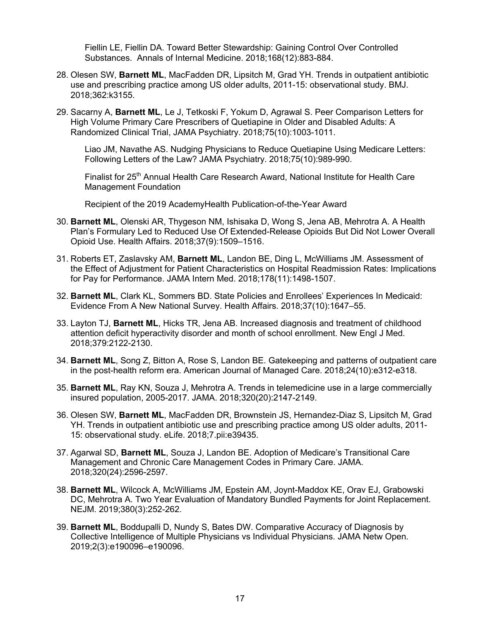Fiellin LE, Fiellin DA. Toward Better Stewardship: Gaining Control Over Controlled Substances. Annals of Internal Medicine. 2018;168(12):883-884.

- 28. Olesen SW, **Barnett ML**, MacFadden DR, Lipsitch M, Grad YH. Trends in outpatient antibiotic use and prescribing practice among US older adults, 2011-15: observational study. BMJ. 2018;362:k3155.
- 29. Sacarny A, **Barnett ML**, Le J, Tetkoski F, Yokum D, Agrawal S. Peer Comparison Letters for High Volume Primary Care Prescribers of Quetiapine in Older and Disabled Adults: A Randomized Clinical Trial, JAMA Psychiatry. 2018;75(10):1003-1011.

Liao JM, Navathe AS. Nudging Physicians to Reduce Quetiapine Using Medicare Letters: Following Letters of the Law? JAMA Psychiatry. 2018;75(10):989-990.

Finalist for 25<sup>th</sup> Annual Health Care Research Award, National Institute for Health Care Management Foundation

Recipient of the 2019 AcademyHealth Publication-of-the-Year Award

- 30. **Barnett ML**, Olenski AR, Thygeson NM, Ishisaka D, Wong S, Jena AB, Mehrotra A. A Health Plan's Formulary Led to Reduced Use Of Extended-Release Opioids But Did Not Lower Overall Opioid Use. Health Affairs. 2018;37(9):1509–1516.
- 31. Roberts ET, Zaslavsky AM, **Barnett ML**, Landon BE, Ding L, McWilliams JM. Assessment of the Effect of Adjustment for Patient Characteristics on Hospital Readmission Rates: Implications for Pay for Performance. JAMA Intern Med. 2018;178(11):1498-1507.
- 32. **Barnett ML**, Clark KL, Sommers BD. State Policies and Enrollees' Experiences In Medicaid: Evidence From A New National Survey. Health Affairs. 2018;37(10):1647–55.
- 33. Layton TJ, **Barnett ML**, Hicks TR, Jena AB. Increased diagnosis and treatment of childhood attention deficit hyperactivity disorder and month of school enrollment. New Engl J Med. 2018;379:2122-2130.
- 34. **Barnett ML**, Song Z, Bitton A, Rose S, Landon BE. Gatekeeping and patterns of outpatient care in the post-health reform era. American Journal of Managed Care. 2018;24(10):e312-e318.
- 35. **Barnett ML**, Ray KN, Souza J, Mehrotra A. Trends in telemedicine use in a large commercially insured population, 2005-2017. JAMA. 2018;320(20):2147-2149.
- 36. Olesen SW, **Barnett ML**, MacFadden DR, Brownstein JS, Hernandez-Diaz S, Lipsitch M, Grad YH. Trends in outpatient antibiotic use and prescribing practice among US older adults, 2011- 15: observational study. eLife. 2018;7.pii:e39435.
- 37. Agarwal SD, **Barnett ML**, Souza J, Landon BE. Adoption of Medicare's Transitional Care Management and Chronic Care Management Codes in Primary Care. JAMA. 2018;320(24):2596-2597.
- 38. **Barnett ML**, Wilcock A, McWilliams JM, Epstein AM, Joynt-Maddox KE, Orav EJ, Grabowski DC, Mehrotra A. Two Year Evaluation of Mandatory Bundled Payments for Joint Replacement. NEJM. 2019;380(3):252-262.
- 39. **Barnett ML**, Boddupalli D, Nundy S, Bates DW. Comparative Accuracy of Diagnosis by Collective Intelligence of Multiple Physicians vs Individual Physicians. JAMA Netw Open. 2019;2(3):e190096–e190096.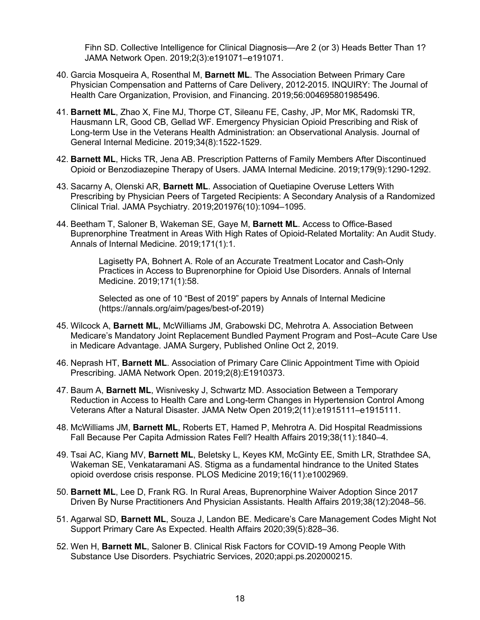Fihn SD. Collective Intelligence for Clinical Diagnosis—Are 2 (or 3) Heads Better Than 1? JAMA Network Open. 2019;2(3):e191071–e191071.

- 40. Garcia Mosqueira A, Rosenthal M, **Barnett ML**. The Association Between Primary Care Physician Compensation and Patterns of Care Delivery, 2012-2015. INQUIRY: The Journal of Health Care Organization, Provision, and Financing. 2019;56:004695801985496.
- 41. **Barnett ML**, Zhao X, Fine MJ, Thorpe CT, Sileanu FE, Cashy, JP, Mor MK, Radomski TR, Hausmann LR, Good CB, Gellad WF. Emergency Physician Opioid Prescribing and Risk of Long-term Use in the Veterans Health Administration: an Observational Analysis. Journal of General Internal Medicine. 2019;34(8):1522-1529.
- 42. **Barnett ML**, Hicks TR, Jena AB. Prescription Patterns of Family Members After Discontinued Opioid or Benzodiazepine Therapy of Users. JAMA Internal Medicine. 2019;179(9):1290-1292.
- 43. Sacarny A, Olenski AR, **Barnett ML**. Association of Quetiapine Overuse Letters With Prescribing by Physician Peers of Targeted Recipients: A Secondary Analysis of a Randomized Clinical Trial. JAMA Psychiatry. 2019;201976(10):1094–1095.
- 44. Beetham T, Saloner B, Wakeman SE, Gaye M, **Barnett ML**. Access to Office-Based Buprenorphine Treatment in Areas With High Rates of Opioid-Related Mortality: An Audit Study. Annals of Internal Medicine. 2019;171(1):1.

Lagisetty PA, Bohnert A. Role of an Accurate Treatment Locator and Cash-Only Practices in Access to Buprenorphine for Opioid Use Disorders. Annals of Internal Medicine. 2019;171(1):58.

Selected as one of 10 "Best of 2019" papers by Annals of Internal Medicine (https://annals.org/aim/pages/best-of-2019)

- 45. Wilcock A, **Barnett ML**, McWilliams JM, Grabowski DC, Mehrotra A. Association Between Medicare's Mandatory Joint Replacement Bundled Payment Program and Post–Acute Care Use in Medicare Advantage. JAMA Surgery, Published Online Oct 2, 2019.
- 46. Neprash HT, **Barnett ML**. Association of Primary Care Clinic Appointment Time with Opioid Prescribing. JAMA Network Open. 2019;2(8):E1910373.
- 47. Baum A, **Barnett ML**, Wisnivesky J, Schwartz MD. Association Between a Temporary Reduction in Access to Health Care and Long-term Changes in Hypertension Control Among Veterans After a Natural Disaster. JAMA Netw Open 2019;2(11):e1915111–e1915111.
- 48. McWilliams JM, **Barnett ML**, Roberts ET, Hamed P, Mehrotra A. Did Hospital Readmissions Fall Because Per Capita Admission Rates Fell? Health Affairs 2019;38(11):1840–4.
- 49. Tsai AC, Kiang MV, **Barnett ML**, Beletsky L, Keyes KM, McGinty EE, Smith LR, Strathdee SA, Wakeman SE, Venkataramani AS. Stigma as a fundamental hindrance to the United States opioid overdose crisis response. PLOS Medicine 2019;16(11):e1002969.
- 50. **Barnett ML**, Lee D, Frank RG. In Rural Areas, Buprenorphine Waiver Adoption Since 2017 Driven By Nurse Practitioners And Physician Assistants. Health Affairs 2019;38(12):2048–56.
- 51. Agarwal SD, **Barnett ML**, Souza J, Landon BE. Medicare's Care Management Codes Might Not Support Primary Care As Expected. Health Affairs 2020;39(5):828–36.
- 52. Wen H, **Barnett ML**, Saloner B. Clinical Risk Factors for COVID-19 Among People With Substance Use Disorders. Psychiatric Services, 2020;appi.ps.202000215.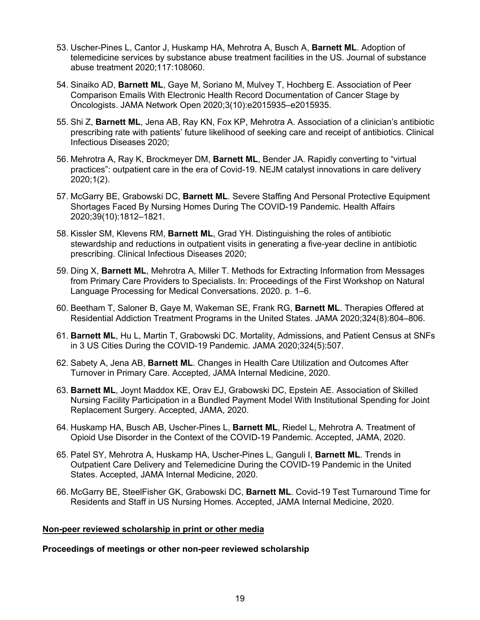- 53. Uscher-Pines L, Cantor J, Huskamp HA, Mehrotra A, Busch A, **Barnett ML**. Adoption of telemedicine services by substance abuse treatment facilities in the US. Journal of substance abuse treatment 2020;117:108060.
- 54. Sinaiko AD, **Barnett ML**, Gaye M, Soriano M, Mulvey T, Hochberg E. Association of Peer Comparison Emails With Electronic Health Record Documentation of Cancer Stage by Oncologists. JAMA Network Open 2020;3(10):e2015935–e2015935.
- 55. Shi Z, **Barnett ML**, Jena AB, Ray KN, Fox KP, Mehrotra A. Association of a clinician's antibiotic prescribing rate with patients' future likelihood of seeking care and receipt of antibiotics. Clinical Infectious Diseases 2020;
- 56. Mehrotra A, Ray K, Brockmeyer DM, **Barnett ML**, Bender JA. Rapidly converting to "virtual practices": outpatient care in the era of Covid-19. NEJM catalyst innovations in care delivery 2020;1(2).
- 57. McGarry BE, Grabowski DC, **Barnett ML**. Severe Staffing And Personal Protective Equipment Shortages Faced By Nursing Homes During The COVID-19 Pandemic. Health Affairs 2020;39(10):1812–1821.
- 58. Kissler SM, Klevens RM, **Barnett ML**, Grad YH. Distinguishing the roles of antibiotic stewardship and reductions in outpatient visits in generating a five-year decline in antibiotic prescribing. Clinical Infectious Diseases 2020;
- 59. Ding X, **Barnett ML**, Mehrotra A, Miller T. Methods for Extracting Information from Messages from Primary Care Providers to Specialists. In: Proceedings of the First Workshop on Natural Language Processing for Medical Conversations. 2020. p. 1–6.
- 60. Beetham T, Saloner B, Gaye M, Wakeman SE, Frank RG, **Barnett ML**. Therapies Offered at Residential Addiction Treatment Programs in the United States. JAMA 2020;324(8):804–806.
- 61. **Barnett ML**, Hu L, Martin T, Grabowski DC. Mortality, Admissions, and Patient Census at SNFs in 3 US Cities During the COVID-19 Pandemic. JAMA 2020;324(5):507.
- 62. Sabety A, Jena AB, **Barnett ML**. Changes in Health Care Utilization and Outcomes After Turnover in Primary Care. Accepted, JAMA Internal Medicine, 2020.
- 63. **Barnett ML**, Joynt Maddox KE, Orav EJ, Grabowski DC, Epstein AE. Association of Skilled Nursing Facility Participation in a Bundled Payment Model With Institutional Spending for Joint Replacement Surgery. Accepted, JAMA, 2020.
- 64. Huskamp HA, Busch AB, Uscher-Pines L, **Barnett ML**, Riedel L, Mehrotra A. Treatment of Opioid Use Disorder in the Context of the COVID-19 Pandemic. Accepted, JAMA, 2020.
- 65. Patel SY, Mehrotra A, Huskamp HA, Uscher-Pines L, Ganguli I, **Barnett ML**. Trends in Outpatient Care Delivery and Telemedicine During the COVID-19 Pandemic in the United States. Accepted, JAMA Internal Medicine, 2020.
- 66. McGarry BE, SteelFisher GK, Grabowski DC, **Barnett ML**. Covid-19 Test Turnaround Time for Residents and Staff in US Nursing Homes. Accepted, JAMA Internal Medicine, 2020.

### **Non-peer reviewed scholarship in print or other media**

#### **Proceedings of meetings or other non-peer reviewed scholarship**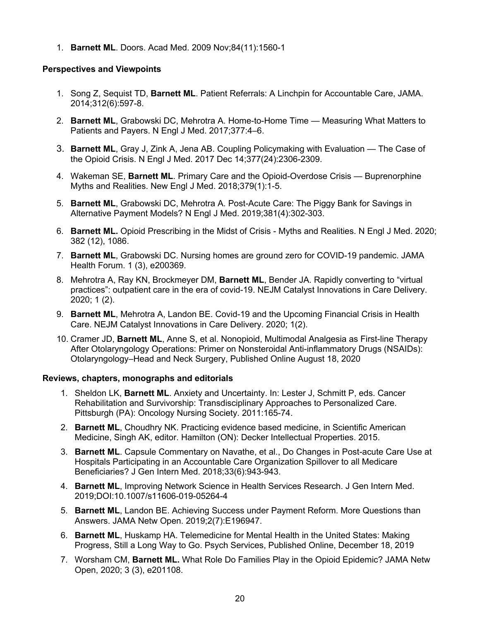1. **Barnett ML**. Doors. Acad Med. 2009 Nov;84(11):1560-1

### **Perspectives and Viewpoints**

- 1. Song Z, Sequist TD, **Barnett ML**. Patient Referrals: A Linchpin for Accountable Care, JAMA. 2014;312(6):597-8.
- 2. **Barnett ML**, Grabowski DC, Mehrotra A. Home-to-Home Time Measuring What Matters to Patients and Payers. N Engl J Med. 2017;377:4–6.
- 3. **Barnett ML**, Gray J, Zink A, Jena AB. Coupling Policymaking with Evaluation The Case of the Opioid Crisis. N Engl J Med. 2017 Dec 14;377(24):2306-2309.
- 4. Wakeman SE, **Barnett ML**. Primary Care and the Opioid-Overdose Crisis Buprenorphine Myths and Realities. New Engl J Med. 2018;379(1):1-5.
- 5. **Barnett ML**, Grabowski DC, Mehrotra A. Post-Acute Care: The Piggy Bank for Savings in Alternative Payment Models? N Engl J Med. 2019;381(4):302-303.
- 6. **Barnett ML.** Opioid Prescribing in the Midst of Crisis Myths and Realities. N Engl J Med. 2020; 382 (12), 1086.
- 7. **Barnett ML**, Grabowski DC. Nursing homes are ground zero for COVID-19 pandemic. JAMA Health Forum. 1 (3), e200369.
- 8. Mehrotra A, Ray KN, Brockmeyer DM, **Barnett ML**, Bender JA. Rapidly converting to "virtual practices": outpatient care in the era of covid-19. NEJM Catalyst Innovations in Care Delivery. 2020; 1 (2).
- 9. **Barnett ML**, Mehrotra A, Landon BE. Covid-19 and the Upcoming Financial Crisis in Health Care. NEJM Catalyst Innovations in Care Delivery. 2020; 1(2).
- 10. Cramer JD, **Barnett ML**, Anne S, et al. Nonopioid, Multimodal Analgesia as First-line Therapy After Otolaryngology Operations: Primer on Nonsteroidal Anti-inflammatory Drugs (NSAIDs): Otolaryngology–Head and Neck Surgery, Published Online August 18, 2020

### **Reviews, chapters, monographs and editorials**

- 1. Sheldon LK, **Barnett ML**. Anxiety and Uncertainty. In: Lester J, Schmitt P, eds. Cancer Rehabilitation and Survivorship: Transdisciplinary Approaches to Personalized Care. Pittsburgh (PA): Oncology Nursing Society. 2011:165-74.
- 2. **Barnett ML**, Choudhry NK. Practicing evidence based medicine, in Scientific American Medicine, Singh AK, editor. Hamilton (ON): Decker Intellectual Properties. 2015.
- 3. **Barnett ML**. Capsule Commentary on Navathe, et al., Do Changes in Post-acute Care Use at Hospitals Participating in an Accountable Care Organization Spillover to all Medicare Beneficiaries? J Gen Intern Med. 2018;33(6):943-943.
- 4. **Barnett ML**, Improving Network Science in Health Services Research. J Gen Intern Med. 2019;DOI:10.1007/s11606-019-05264-4
- 5. **Barnett ML**, Landon BE. Achieving Success under Payment Reform. More Questions than Answers. JAMA Netw Open. 2019;2(7):E196947.
- 6. **Barnett ML**, Huskamp HA. Telemedicine for Mental Health in the United States: Making Progress, Still a Long Way to Go. Psych Services, Published Online, December 18, 2019
- 7. Worsham CM, **Barnett ML.** What Role Do Families Play in the Opioid Epidemic? JAMA Netw Open, 2020; 3 (3), e201108.